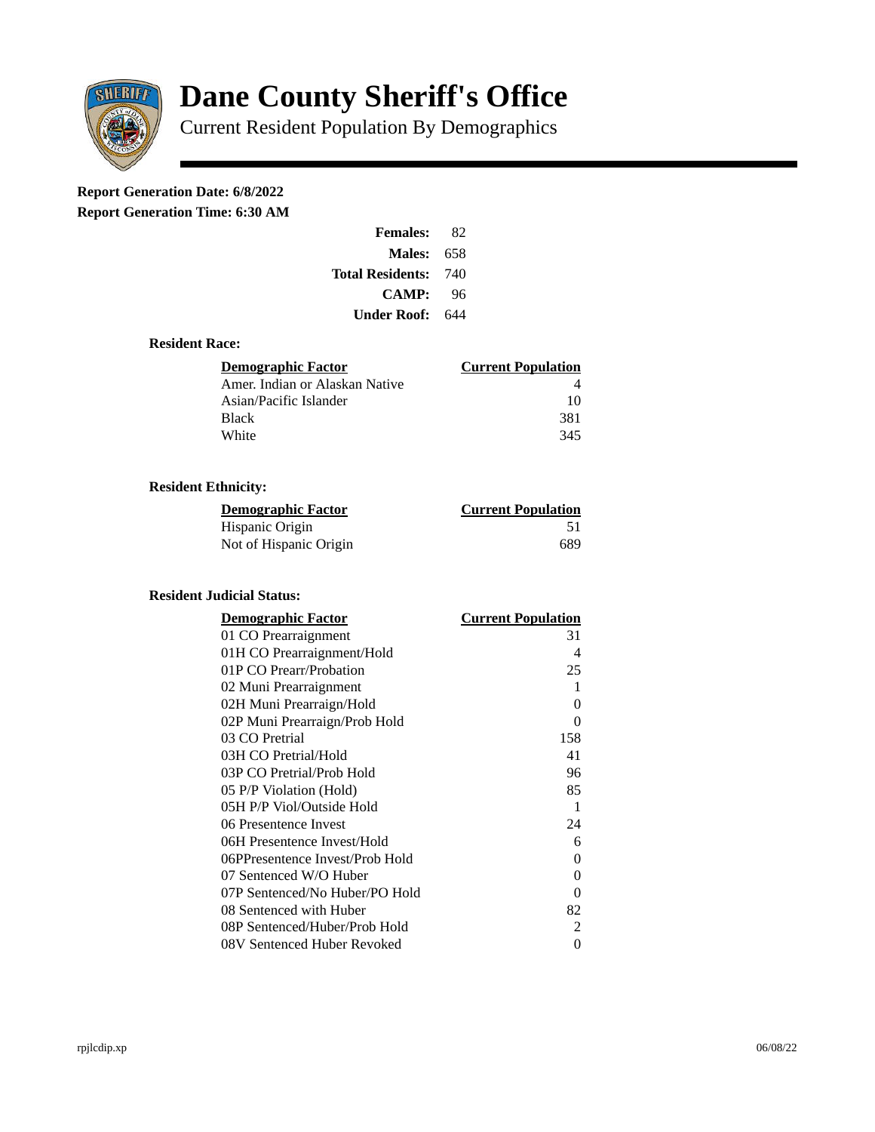

# **Dane County Sheriff's Office**

Current Resident Population By Demographics

## **Report Generation Date: 6/8/2022**

**Report Generation Time: 6:30 AM** 

| <b>Females:</b>         | 82  |
|-------------------------|-----|
| Males:                  | 658 |
| <b>Total Residents:</b> | 740 |
| <b>CAMP:</b>            | 96  |
| Under Roof: \           | 644 |

#### **Resident Race:**

| Demographic Factor             | <b>Current Population</b> |
|--------------------------------|---------------------------|
| Amer. Indian or Alaskan Native |                           |
| Asian/Pacific Islander         | 10                        |
| Black                          | 381                       |
| White                          | 345                       |

### **Resident Ethnicity:**

| <u> Demographic Factor</u> | <b>Current Population</b> |
|----------------------------|---------------------------|
| Hispanic Origin            | -51                       |
| Not of Hispanic Origin     | 689                       |

#### **Resident Judicial Status:**

| <u>Demographic Factor</u>       | <u> Current Population</u> |
|---------------------------------|----------------------------|
| 01 CO Prearraignment            | 31                         |
| 01H CO Prearraignment/Hold      | 4                          |
| 01P CO Prearr/Probation         | 25                         |
| 02 Muni Prearraignment          | 1                          |
| 02H Muni Prearraign/Hold        | 0                          |
| 02P Muni Prearraign/Prob Hold   | 0                          |
| 03 CO Pretrial                  | 158                        |
| 03H CO Pretrial/Hold            | 41                         |
| 03P CO Pretrial/Prob Hold       | 96                         |
| 05 P/P Violation (Hold)         | 85                         |
| 05H P/P Viol/Outside Hold       | 1                          |
| 06 Presentence Invest           | 24                         |
| 06H Presentence Invest/Hold     | 6                          |
| 06PPresentence Invest/Prob Hold | 0                          |
| 07 Sentenced W/O Huber          | 0                          |
| 07P Sentenced/No Huber/PO Hold  | 0                          |
| 08 Sentenced with Huber         | 82                         |
| 08P Sentenced/Huber/Prob Hold   | 2                          |
| 08V Sentenced Huber Revoked     | 0                          |